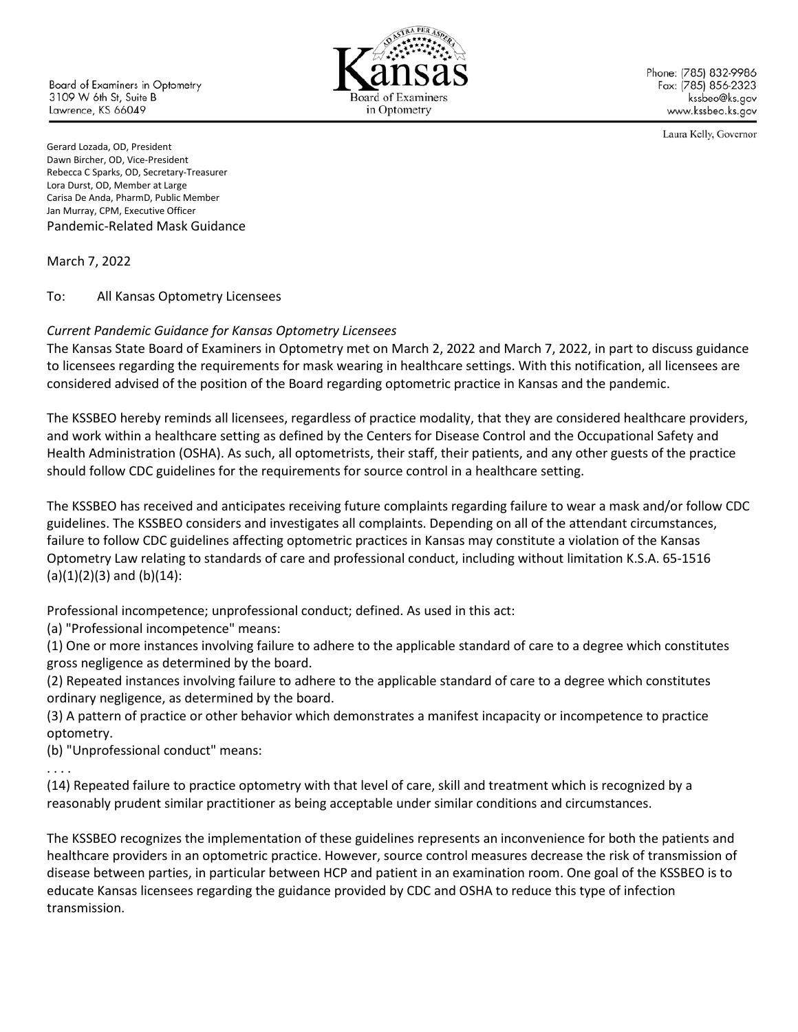**Board of Examiners in Optometry** 3109 W 6th St. Suite B Lawrence, KS 66049



Phone: (785) 832-9986 Fax: (785) 856-2323 kssbeo@ks.gov www.kssbeo.ks.gov

Laura Kelly, Governor

Gerard Lozada, OD, President Dawn Bircher, OD, Vice-President Rebecca C Sparks, OD, Secretary-Treasurer Lora Durst, OD, Member at Large Carisa De Anda, PharmD, Public Member Jan Murray, CPM, Executive Officer Pandemic-Related Mask Guidance

March 7, 2022

To: All Kansas Optometry Licensees

## *Current Pandemic Guidance for Kansas Optometry Licensees*

The Kansas State Board of Examiners in Optometry met on March 2, 2022 and March 7, 2022, in part to discuss guidance to licensees regarding the requirements for mask wearing in healthcare settings. With this notification, all licensees are considered advised of the position of the Board regarding optometric practice in Kansas and the pandemic.

The KSSBEO hereby reminds all licensees, regardless of practice modality, that they are considered healthcare providers, and work within a healthcare setting as defined by the Centers for Disease Control and the Occupational Safety and Health Administration (OSHA). As such, all optometrists, their staff, their patients, and any other guests of the practice should follow CDC guidelines for the requirements for source control in a healthcare setting.

The KSSBEO has received and anticipates receiving future complaints regarding failure to wear a mask and/or follow CDC guidelines. The KSSBEO considers and investigates all complaints. Depending on all of the attendant circumstances, failure to follow CDC guidelines affecting optometric practices in Kansas may constitute a violation of the Kansas Optometry Law relating to standards of care and professional conduct, including without limitation K.S.A. 65-1516  $(a)(1)(2)(3)$  and  $(b)(14)$ :

Professional incompetence; unprofessional conduct; defined. As used in this act:

(a) "Professional incompetence" means:

(1) One or more instances involving failure to adhere to the applicable standard of care to a degree which constitutes gross negligence as determined by the board.

(2) Repeated instances involving failure to adhere to the applicable standard of care to a degree which constitutes ordinary negligence, as determined by the board.

(3) A pattern of practice or other behavior which demonstrates a manifest incapacity or incompetence to practice optometry.

(b) "Unprofessional conduct" means:

. . . .

(14) Repeated failure to practice optometry with that level of care, skill and treatment which is recognized by a reasonably prudent similar practitioner as being acceptable under similar conditions and circumstances.

The KSSBEO recognizes the implementation of these guidelines represents an inconvenience for both the patients and healthcare providers in an optometric practice. However, source control measures decrease the risk of transmission of disease between parties, in particular between HCP and patient in an examination room. One goal of the KSSBEO is to educate Kansas licensees regarding the guidance provided by CDC and OSHA to reduce this type of infection transmission.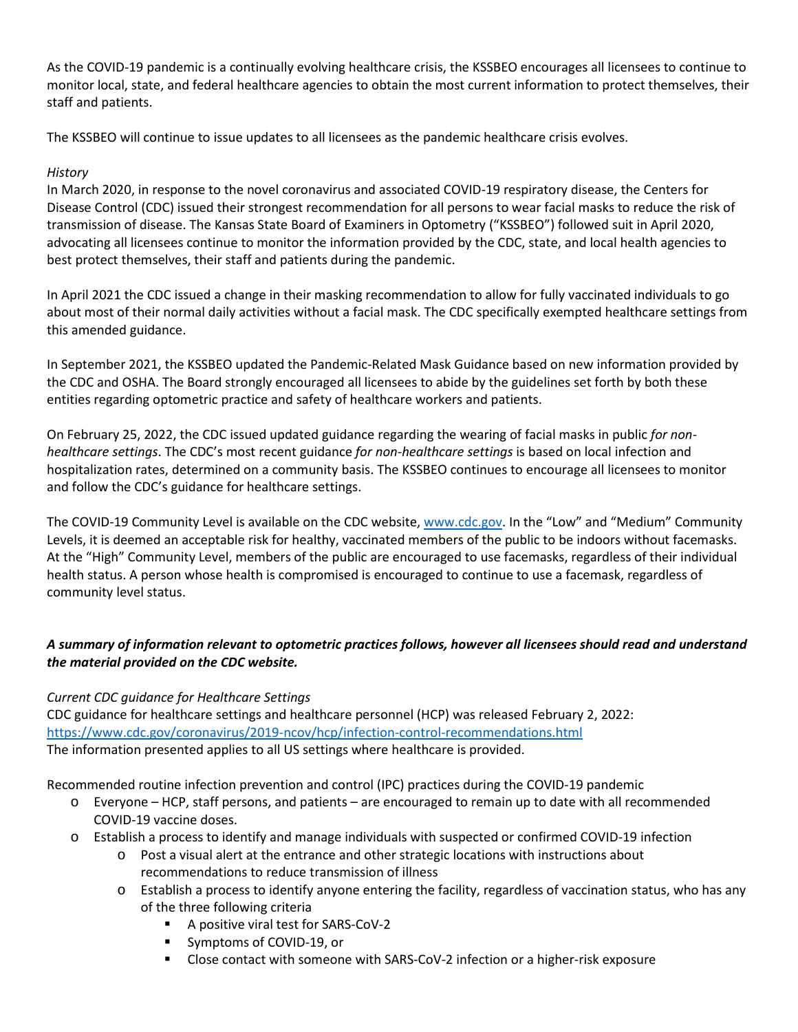As the COVID-19 pandemic is a continually evolving healthcare crisis, the KSSBEO encourages all licensees to continue to monitor local, state, and federal healthcare agencies to obtain the most current information to protect themselves, their staff and patients.

The KSSBEO will continue to issue updates to all licensees as the pandemic healthcare crisis evolves.

## *History*

In March 2020, in response to the novel coronavirus and associated COVID-19 respiratory disease, the Centers for Disease Control (CDC) issued their strongest recommendation for all persons to wear facial masks to reduce the risk of transmission of disease. The Kansas State Board of Examiners in Optometry ("KSSBEO") followed suit in April 2020, advocating all licensees continue to monitor the information provided by the CDC, state, and local health agencies to best protect themselves, their staff and patients during the pandemic.

In April 2021 the CDC issued a change in their masking recommendation to allow for fully vaccinated individuals to go about most of their normal daily activities without a facial mask. The CDC specifically exempted healthcare settings from this amended guidance.

In September 2021, the KSSBEO updated the Pandemic-Related Mask Guidance based on new information provided by the CDC and OSHA. The Board strongly encouraged all licensees to abide by the guidelines set forth by both these entities regarding optometric practice and safety of healthcare workers and patients.

On February 25, 2022, the CDC issued updated guidance regarding the wearing of facial masks in public *for nonhealthcare settings*. The CDC's most recent guidance *for non-healthcare settings* is based on local infection and hospitalization rates, determined on a community basis. The KSSBEO continues to encourage all licensees to monitor and follow the CDC's guidance for healthcare settings.

The COVID-19 Community Level is available on the CDC website, [www.cdc.gov.](http://www.cdc.gov/) In the "Low" and "Medium" Community Levels, it is deemed an acceptable risk for healthy, vaccinated members of the public to be indoors without facemasks. At the "High" Community Level, members of the public are encouraged to use facemasks, regardless of their individual health status. A person whose health is compromised is encouraged to continue to use a facemask, regardless of community level status.

## *A summary of information relevant to optometric practices follows, however all licensees should read and understand the material provided on the CDC website.*

## *Current CDC guidance for Healthcare Settings*

CDC guidance for healthcare settings and healthcare personnel (HCP) was released February 2, 2022: <https://www.cdc.gov/coronavirus/2019-ncov/hcp/infection-control-recommendations.html> The information presented applies to all US settings where healthcare is provided.

Recommended routine infection prevention and control (IPC) practices during the COVID-19 pandemic

- o Everyone HCP, staff persons, and patients are encouraged to remain up to date with all recommended COVID-19 vaccine doses.
- o Establish a process to identify and manage individuals with suspected or confirmed COVID-19 infection
	- o Post a visual alert at the entrance and other strategic locations with instructions about recommendations to reduce transmission of illness
	- o Establish a process to identify anyone entering the facility, regardless of vaccination status, who has any of the three following criteria
		- A positive viral test for SARS-CoV-2
		- Symptoms of COVID-19, or
		- Close contact with someone with SARS-CoV-2 infection or a higher-risk exposure